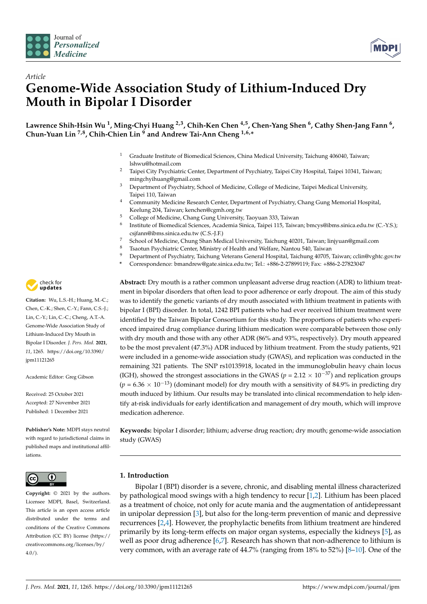

*Article*



# **Genome-Wide Association Study of Lithium-Induced Dry Mouth in Bipolar I Disorder**

**Lawrence Shih-Hsin Wu <sup>1</sup> , Ming-Chyi Huang 2,3, Chih-Ken Chen 4,5, Chen-Yang Shen <sup>6</sup> , Cathy Shen-Jang Fann <sup>6</sup> , Chun-Yuan Lin 7,8, Chih-Chien Lin <sup>9</sup> and Andrew Tai-Ann Cheng 1,6,\***

- <sup>1</sup> Graduate Institute of Biomedical Sciences, China Medical University, Taichung 406040, Taiwan; lshwu@hotmail.com
- <sup>2</sup> Taipei City Psychiatric Center, Department of Psychiatry, Taipei City Hospital, Taipei 10341, Taiwan; mingchyihuang@gmail.com
- <sup>3</sup> Department of Psychiatry, School of Medicine, College of Medicine, Taipei Medical University, Taipei 110, Taiwan
- <sup>4</sup> Community Medicine Research Center, Department of Psychiatry, Chang Gung Memorial Hospital, Keelung 204, Taiwan; kenchen@cgmh.org.tw
- <sup>5</sup> College of Medicine, Chang Gung University, Taoyuan 333, Taiwan
- 6 Institute of Biomedical Sciences, Academia Sinica, Taipei 115, Taiwan; bmcys@ibms.sinica.edu.tw (C.-Y.S.); csjfann@ibms.sinica.edu.tw (C.S.-J.F.)
- <sup>7</sup> School of Medicine, Chung Shan Medical University, Taichung 40201, Taiwan; linjyuan@gmail.com
- <sup>8</sup> Tsaotun Psychiatric Center, Ministry of Health and Welfare, Nantou 540, Taiwan<br><sup>9</sup> Department of Psychiatry Tsishung Veterans Ceneral Heapital Tsishung 40705
- <sup>9</sup> Department of Psychiatry, Taichung Veterans General Hospital, Taichung 40705, Taiwan; cclin@vghtc.gov.tw
- **\*** Correspondence: bmandrew@gate.sinica.edu.tw; Tel.: +886-2-27899119; Fax: +886-2-27823047

**Abstract:** Dry mouth is a rather common unpleasant adverse drug reaction (ADR) to lithium treatment in bipolar disorders that often lead to poor adherence or early dropout. The aim of this study was to identify the genetic variants of dry mouth associated with lithium treatment in patients with bipolar I (BPI) disorder. In total, 1242 BPI patients who had ever received lithium treatment were identified by the Taiwan Bipolar Consortium for this study. The proportions of patients who experienced impaired drug compliance during lithium medication were comparable between those only with dry mouth and those with any other ADR (86% and 93%, respectively). Dry mouth appeared to be the most prevalent (47.3%) ADR induced by lithium treatment. From the study patients, 921 were included in a genome-wide association study (GWAS), and replication was conducted in the remaining 321 patients. The SNP rs10135918, located in the immunoglobulin heavy chain locus (IGH), showed the strongest associations in the GWAS ( $p = 2.12 \times 10^{-37}$ ) and replication groups  $(p = 6.36 \times 10^{-13})$  (dominant model) for dry mouth with a sensitivity of 84.9% in predicting dry mouth induced by lithium. Our results may be translated into clinical recommendation to help identify at-risk individuals for early identification and management of dry mouth, which will improve medication adherence.

**Keywords:** bipolar I disorder; lithium; adverse drug reaction; dry mouth; genome-wide association study (GWAS)

# **1. Introduction**

Bipolar I (BPI) disorder is a severe, chronic, and disabling mental illness characterized by pathological mood swings with a high tendency to recur [\[1](#page-6-0)[,2\]](#page-6-1). Lithium has been placed as a treatment of choice, not only for acute mania and the augmentation of antidepressant in unipolar depression [\[3\]](#page-6-2), but also for the long-term prevention of manic and depressive recurrences [\[2](#page-6-1)[,4\]](#page-6-3). However, the prophylactic benefits from lithium treatment are hindered primarily by its long-term effects on major organ systems, especially the kidneys [\[5\]](#page-6-4), as well as poor drug adherence [\[6,](#page-6-5)[7\]](#page-6-6). Research has shown that non-adherence to lithium is very common, with an average rate of 44.7% (ranging from 18% to 52%) [\[8](#page-6-7)[–10\]](#page-6-8). One of the



**Citation:** Wu, L.S.-H.; Huang, M.-C.; Chen, C.-K.; Shen, C.-Y.; Fann, C.S.-J.; Lin, C.-Y.; Lin, C.-C.; Cheng, A.T.-A. Genome-Wide Association Study of Lithium-Induced Dry Mouth in Bipolar I Disorder. *J. Pers. Med.* **2021**, *11*, 1265. [https://doi.org/10.3390/](https://doi.org/10.3390/jpm11121265) [jpm11121265](https://doi.org/10.3390/jpm11121265)

Academic Editor: Greg Gibson

Received: 25 October 2021 Accepted: 27 November 2021 Published: 1 December 2021

**Publisher's Note:** MDPI stays neutral with regard to jurisdictional claims in published maps and institutional affiliations.



**Copyright:** © 2021 by the authors. Licensee MDPI, Basel, Switzerland. This article is an open access article distributed under the terms and conditions of the Creative Commons Attribution (CC BY) license (https:/[/](https://creativecommons.org/licenses/by/4.0/) [creativecommons.org/licenses/by/](https://creativecommons.org/licenses/by/4.0/)  $4.0/$ ).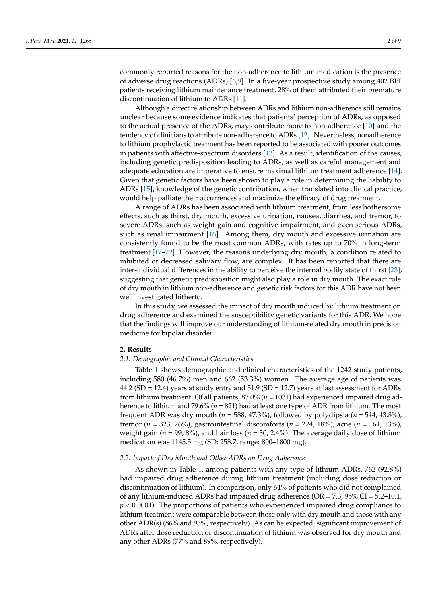commonly reported reasons for the non-adherence to lithium medication is the presence of adverse drug reactions (ADRs) [\[6,](#page-6-5)[9\]](#page-6-9). In a five-year prospective study among 402 BPI patients receiving lithium maintenance treatment, 28% of them attributed their premature discontinuation of lithium to ADRs [\[11\]](#page-6-10).

Although a direct relationship between ADRs and lithium non-adherence still remains unclear because some evidence indicates that patients' perception of ADRs, as opposed to the actual presence of the ADRs, may contribute more to non-adherence [\[10\]](#page-6-8) and the tendency of clinicians to attribute non-adherence to ADRs [\[12\]](#page-6-11). Nevertheless, nonadherence to lithium prophylactic treatment has been reported to be associated with poorer outcomes in patients with affective-spectrum disorders [\[13\]](#page-6-12). As a result, identification of the causes, including genetic predisposition leading to ADRs, as well as careful management and adequate education are imperative to ensure maximal lithium treatment adherence [\[14\]](#page-7-0). Given that genetic factors have been shown to play a role in determining the liability to ADRs [\[15\]](#page-7-1), knowledge of the genetic contribution, when translated into clinical practice, would help palliate their occurrences and maximize the efficacy of drug treatment.

A range of ADRs has been associated with lithium treatment, from less bothersome effects, such as thirst, dry mouth, excessive urination, nausea, diarrhea, and tremor, to severe ADRs, such as weight gain and cognitive impairment, and even serious ADRs, such as renal impairment [\[16\]](#page-7-2). Among them, dry mouth and excessive urination are consistently found to be the most common ADRs, with rates up to 70% in long-term treatment [\[17–](#page-7-3)[22\]](#page-7-4). However, the reasons underlying dry mouth, a condition related to inhibited or decreased salivary flow, are complex. It has been reported that there are inter-individual differences in the ability to perceive the internal bodily state of thirst [\[23\]](#page-7-5), suggesting that genetic predisposition might also play a role in dry mouth. The exact role of dry mouth in lithium non-adherence and genetic risk factors for this ADR have not been well investigated hitherto.

In this study, we assessed the impact of dry mouth induced by lithium treatment on drug adherence and examined the susceptibility genetic variants for this ADR. We hope that the findings will improve our understanding of lithium-related dry mouth in precision medicine for bipolar disorder.

#### **2. Results**

#### *2.1. Demographic and Clinical Characteristics*

Table [1](#page-2-0) shows demographic and clinical characteristics of the 1242 study patients, including 580 (46.7%) men and 662 (53.3%) women. The average age of patients was 44.2 (SD = 12.4) years at study entry and  $51.9$  (SD = 12.7) years at last assessment for ADRs from lithium treatment. Of all patients, 83.0% (*n* = 1031) had experienced impaired drug adherence to lithium and 79.6% (*n* = 821) had at least one type of ADR from lithium. The most frequent ADR was dry mouth (*n* = 588, 47.3%), followed by polydipsia (*n* = 544, 43.8%), tremor (*n* = 323, 26%), gastrointestinal discomforts (*n* = 224, 18%), acne (*n* = 161, 13%), weight gain ( $n = 99$ , 8%), and hair loss ( $n = 30$ , 2.4%). The average daily dose of lithium medication was 1145.5 mg (SD: 258.7, range: 800–1800 mg).

# *2.2. Impact of Dry Mouth and Other ADRs on Drug Adherence*

As shown in Table [1,](#page-2-0) among patients with any type of lithium ADRs, 762 (92.8%) had impaired drug adherence during lithium treatment (including dose reduction or discontinuation of lithium). In comparison, only 64% of patients who did not complained of any lithium-induced ADRs had impaired drug adherence ( $OR = 7.3$ ,  $95\% CI = 5.2$ –10.1, *p* < 0.0001). The proportions of patients who experienced impaired drug compliance to lithium treatment were comparable between those only with dry mouth and those with any other ADR(s) (86% and 93%, respectively). As can be expected, significant improvement of ADRs after dose reduction or discontinuation of lithium was observed for dry mouth and any other ADRs (77% and 89%, respectively).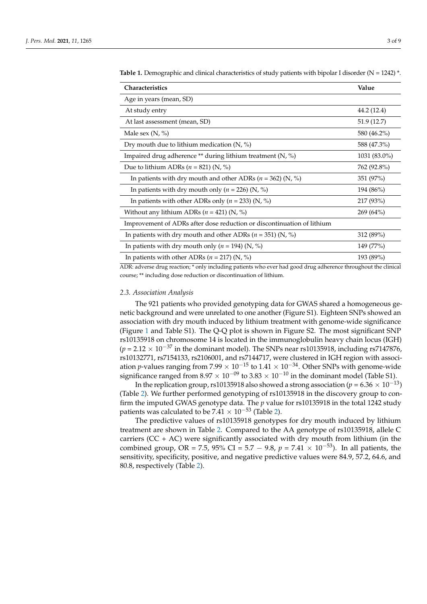| <b>Characteristics</b>                                                 | Value        |
|------------------------------------------------------------------------|--------------|
| Age in years (mean, SD)                                                |              |
| At study entry                                                         | 44.2 (12.4)  |
| At last assessment (mean, SD)                                          | 51.9 (12.7)  |
| Male sex $(N, %)$                                                      | 580 (46.2%)  |
| Dry mouth due to lithium medication $(N, %)$                           | 588 (47.3%)  |
| Impaired drug adherence ** during lithium treatment (N, %)             | 1031 (83.0%) |
| Due to lithium ADRs ( $n = 821$ ) (N, %)                               | 762 (92.8%)  |
| In patients with dry mouth and other ADRs ( $n = 362$ ) (N, %)         | 351 (97%)    |
| In patients with dry mouth only ( $n = 226$ ) (N, %)                   | 194 (86%)    |
| In patients with other ADRs only ( $n = 233$ ) (N, %)                  | 217 (93%)    |
| Without any lithium ADRs ( $n = 421$ ) (N, %)                          | $269(64\%)$  |
| Improvement of ADRs after dose reduction or discontinuation of lithium |              |
| In patients with dry mouth and other ADRs ( $n = 351$ ) (N, %)         | 312 (89%)    |
| In patients with dry mouth only ( $n = 194$ ) (N, %)                   | 149 (77%)    |
| In patients with other ADRs ( $n = 217$ ) (N, %)                       | 193 (89%)    |

<span id="page-2-0"></span>**Table 1.** Demographic and clinical characteristics of study patients with bipolar I disorder ( $N = 1242$ )  $*$ .

ADR: adverse drug reaction; \* only including patients who ever had good drug adherence throughout the clinical course; \*\* including dose reduction or discontinuation of lithium.

#### *2.3. Association Analysis*

The 921 patients who provided genotyping data for GWAS shared a homogeneous genetic background and were unrelated to one another (Figure S1). Eighteen SNPs showed an association with dry mouth induced by lithium treatment with genome-wide significance (Figure [1](#page-3-0) and Table S1). The Q-Q plot is shown in Figure S2. The most significant SNP rs10135918 on chromosome 14 is located in the immunoglobulin heavy chain locus (IGH) ( $p = 2.12 \times 10^{-37}$  in the dominant model). The SNPs near rs10135918, including rs7147876, rs10132771, rs7154133, rs2106001, and rs7144717, were clustered in IGH region with association *p*-values ranging from 7.99  $\times$  10<sup>-15</sup> to 1.41  $\times$  10<sup>-34</sup>. Other SNPs with genome-wide significance ranged from  $8.97 \times 10^{-09}$  to  $3.83 \times 10^{-10}$  in the dominant model (Table S1).

In the replication group, rs10135918 also showed a strong association ( $p = 6.36 \times 10^{-13}$ ) (Table [2\)](#page-3-1). We further performed genotyping of rs10135918 in the discovery group to confirm the imputed GWAS genotype data. The *p* value for rs10135918 in the total 1242 study patients was calculated to be  $7.41 \times 10^{-53}$  (Table [2\)](#page-3-1).

The predictive values of rs10135918 genotypes for dry mouth induced by lithium treatment are shown in Table [2.](#page-3-1) Compared to the AA genotype of rs10135918, allele C carriers ( $CC + AC$ ) were significantly associated with dry mouth from lithium (in the combined group, OR = 7.5, 95% CI = 5.7 – 9.8,  $p = 7.41 \times 10^{-53}$ ). In all patients, the sensitivity, specificity, positive, and negative predictive values were 84.9, 57.2, 64.6, and 80.8, respectively (Table [2\)](#page-3-1).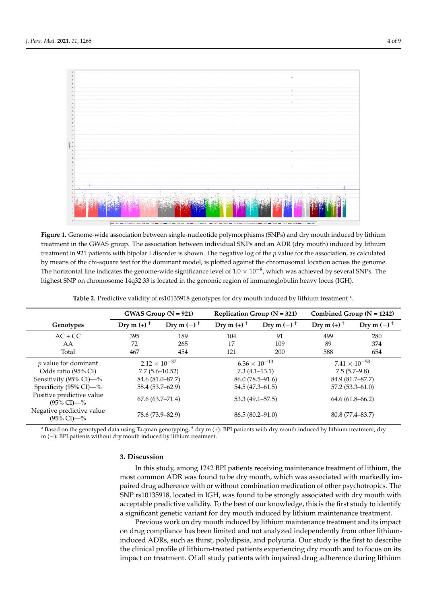<span id="page-3-0"></span>

specificity, positive, and negative predictive values were 84.9, 57.2, 64.6, and 80.8, respec-

Figure 1. Genome-wide association between single-nucleotide polymorphisms (SNPs) and dry mouth induced by lithium treatment in the GWAS group. The association between individual  $\frac{1}{\sqrt{2}}$ treatment in the GWAS group. The association between individual SNPs and an ADR (dry mouth) induced by lithium treatment in 921 patients with bipolar I disorder is shown. The negative log of the  $p$  value for the association, as calculated by means of the chi-square test for the dominant model, is plotted against the chromosomal location across the genome. The horizontal line indicates the genome-wide significance level of  $1.0 \times 10^{-8}$ , which was achieved by several SNPs. The highest SNP on chromosome 14q32.33 is located in the genomic region of immunoglobulin heavy locus (IGH).

<span id="page-3-1"></span>

|                                                       |                          | GWAS Group $(N = 921)$   |                          | Replication Group ( $N = 321$ ) |                          | Combined Group ( $N = 1242$ ) |
|-------------------------------------------------------|--------------------------|--------------------------|--------------------------|---------------------------------|--------------------------|-------------------------------|
| Genotypes                                             | Dry m $(+)$ <sup>+</sup> | Dry m $(-)$ <sup>+</sup> | Dry m $(+)$ <sup>+</sup> | Dry m $(-)$ <sup>+</sup>        | Dry m $(+)$ <sup>+</sup> | Dry m $(-)$ <sup>+</sup>      |
| $AC + CC$                                             | 395                      | 189                      | 104                      | 91                              | 499                      | 280                           |
| AA                                                    | 72                       | 265                      | 17                       | 109                             | 89                       | 374                           |
| Total                                                 | 467                      | 454                      | 121                      | 200                             | 588                      | 654                           |
| $p$ value for dominant                                | $2.12 \times 10^{-37}$   |                          | $6.36 \times 10^{-13}$   |                                 | $7.41 \times 10^{-53}$   |                               |
| Odds ratio (95% CI)                                   | $7.7(5.6 - 10.52)$       |                          | $7.3(4.1-13.1)$          |                                 | $7.5(5.7-9.8)$           |                               |
| Sensitivity (95% CI)—%                                | 84.6 (81.0–87.7)         |                          |                          | $86.0(78.5-91.6)$               |                          | 84.9 (81.7–87.7)              |
| Specificity (95% CI)-%                                | 58.4 (53.7–62.9)         |                          | $54.5(47.3 - 61.5)$      |                                 | $57.2(53.3 - 61.0)$      |                               |
| Positive predictive value<br>$(95\% \text{ CI}) - \%$ | $67.6(63.7 - 71.4)$      |                          | $53.3(49.1 - 57.5)$      |                                 | $64.6(61.8 - 66.2)$      |                               |
| Negative predictive value<br>$(95\% \text{ CI}) - \%$ | 78.6 (73.9–82.9)         |                          | $86.5(80.2 - 91.0)$      |                                 | 80.8 (77.4–83.7)         |                               |

**Table 2.** Predictive validity of rs10135918 genotypes for dry mouth induced by lithium treatment \*.

\* Based on the genotyped data using Taqman genotyping; † dry m (+): BPI patients with dry mouth induced by lithium treatment; dry m (−): BPI patients without dry mouth induced by lithium treatment.

# **3. Discussion**

In this study, among 1242 BPI patients receiving maintenance treatment of lithium, the most common ADR was found to be dry mouth, which was associated with markedly impaired drug adherence with or without combination medication of other psychotropics. The SNP rs10135918, located in IGH, was found to be strongly associated with dry mouth with acceptable predictive validity. To the best of our knowledge, this is the first study to identify a significant genetic variant for dry mouth induced by lithium maintenance treatment.

Previous work on dry mouth induced by lithium maintenance treatment and its impact on drug compliance has been limited and not analyzed independently from other lithiuminduced ADRs, such as thirst, polydipsia, and polyuria. Our study is the first to describe the clinical profile of lithium-treated patients experiencing dry mouth and to focus on its impact on treatment. Of all study patients with impaired drug adherence during lithium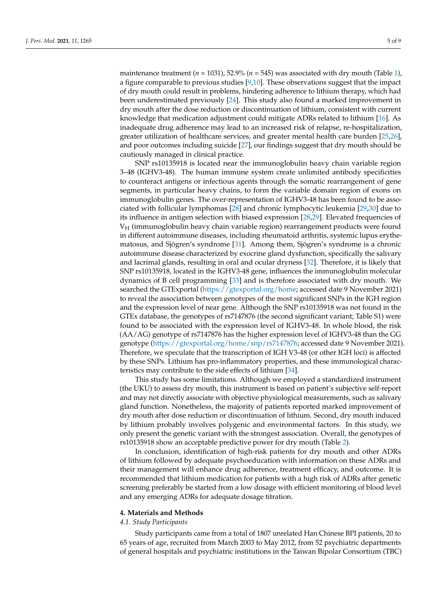maintenance treatment  $(n = 1031)$  $(n = 1031)$ , 52.9%  $(n = 545)$  was associated with dry mouth (Table 1), a figure comparable to previous studies [\[9,](#page-6-9)[10\]](#page-6-8). These observations suggest that the impact of dry mouth could result in problems, hindering adherence to lithium therapy, which had been underestimated previously [\[24\]](#page-7-6). This study also found a marked improvement in dry mouth after the dose reduction or discontinuation of lithium, consistent with current knowledge that medication adjustment could mitigate ADRs related to lithium [\[16\]](#page-7-2). As inadequate drug adherence may lead to an increased risk of relapse, re-hospitalization, greater utilization of healthcare services, and greater mental health care burden [\[25,](#page-7-7)[26\]](#page-7-8), and poor outcomes including suicide [\[27\]](#page-7-9), our findings suggest that dry mouth should be cautiously managed in clinical practice.

SNP rs10135918 is located near the immunoglobulin heavy chain variable region 3–48 (IGHV3-48). The human immune system create unlimited antibody specificities to counteract antigens or infectious agents through the somatic rearrangement of gene segments, in particular heavy chains, to form the variable domain region of exons on immunoglobulin genes. The over-representation of IGHV3-48 has been found to be associated with follicular lymphomas [\[28\]](#page-7-10) and chronic lymphocytic leukemia [\[29](#page-7-11)[,30\]](#page-7-12) due to its influence in antigen selection with biased expression [\[28](#page-7-10)[,29\]](#page-7-11). Elevated frequencies of  $V_H$  (immunoglobulin heavy chain variable region) rearrangement products were found in different autoimmune diseases, including rheumatoid arthritis, systemic lupus erythematosus, and Sjögren's syndrome [\[31\]](#page-7-13). Among them, Sjögren's syndrome is a chronic autoimmune disease characterized by exocrine gland dysfunction, specifically the salivary and lacrimal glands, resulting in oral and ocular dryness [\[32\]](#page-7-14). Therefore, it is likely that SNP rs10135918, located in the IGHV3-48 gene, influences the immunoglobulin molecular dynamics of B cell programming [\[33\]](#page-7-15) and is therefore associated with dry mouth. We searched the GTExportal [\(https://gtexportal.org/home;](https://gtexportal.org/home) accessed date 9 November 2021) to reveal the association between genotypes of the most significant SNPs in the IGH region and the expression level of near gene. Although the SNP rs10135918 was not found in the GTEx database, the genotypes of rs7147876 (the second significant variant; Table S1) were found to be associated with the expression level of IGHV3-48. In whole blood, the risk (AA/AG) genotype of rs7147876 has the higher expression level of IGHV3-48 than the GG genotype [\(https://gtexportal.org/home/snp/rs7147876;](https://gtexportal.org/home/snp/rs7147876) accessed date 9 November 2021). Therefore, we speculate that the transcription of IGH V3-48 (or other IGH loci) is affected by these SNPs. Lithium has pro-inflammatory properties, and these immunological characteristics may contribute to the side effects of lithium [\[34\]](#page-7-16).

This study has some limitations. Although we employed a standardized instrument (the UKU) to assess dry mouth, this instrument is based on patient's subjective self-report and may not directly associate with objective physiological measurements, such as salivary gland function. Nonetheless, the majority of patients reported marked improvement of dry mouth after dose reduction or discontinuation of lithium. Second, dry mouth induced by lithium probably involves polygenic and environmental factors. In this study, we only present the genetic variant with the strongest association. Overall, the genotypes of rs10135918 show an acceptable predictive power for dry mouth (Table [2\)](#page-3-1).

In conclusion, identification of high-risk patients for dry mouth and other ADRs of lithium followed by adequate psychoeducation with information on these ADRs and their management will enhance drug adherence, treatment efficacy, and outcome. It is recommended that lithium medication for patients with a high risk of ADRs after genetic screening preferably be started from a low dosage with efficient monitoring of blood level and any emerging ADRs for adequate dosage titration.

#### **4. Materials and Methods**

# *4.1. Study Participants*

Study participants came from a total of 1807 unrelated Han Chinese BPI patients, 20 to 65 years of age, recruited from March 2003 to May 2012, from 52 psychiatric departments of general hospitals and psychiatric institutions in the Taiwan Bipolar Consortium (TBC)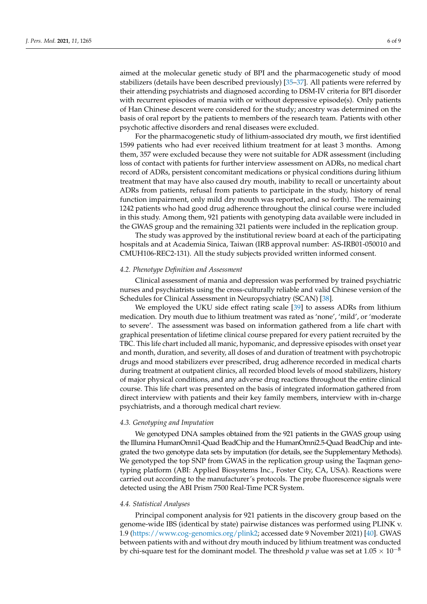aimed at the molecular genetic study of BPI and the pharmacogenetic study of mood stabilizers (details have been described previously) [\[35–](#page-7-17)[37\]](#page-7-18). All patients were referred by their attending psychiatrists and diagnosed according to DSM-IV criteria for BPI disorder with recurrent episodes of mania with or without depressive episode(s). Only patients of Han Chinese descent were considered for the study; ancestry was determined on the basis of oral report by the patients to members of the research team. Patients with other psychotic affective disorders and renal diseases were excluded.

For the pharmacogenetic study of lithium-associated dry mouth, we first identified 1599 patients who had ever received lithium treatment for at least 3 months. Among them, 357 were excluded because they were not suitable for ADR assessment (including loss of contact with patients for further interview assessment on ADRs, no medical chart record of ADRs, persistent concomitant medications or physical conditions during lithium treatment that may have also caused dry mouth, inability to recall or uncertainty about ADRs from patients, refusal from patients to participate in the study, history of renal function impairment, only mild dry mouth was reported, and so forth). The remaining 1242 patients who had good drug adherence throughout the clinical course were included in this study. Among them, 921 patients with genotyping data available were included in the GWAS group and the remaining 321 patients were included in the replication group.

The study was approved by the institutional review board at each of the participating hospitals and at Academia Sinica, Taiwan (IRB approval number: AS-IRB01-050010 and CMUH106-REC2-131). All the study subjects provided written informed consent.

# *4.2. Phenotype Definition and Assessment*

Clinical assessment of mania and depression was performed by trained psychiatric nurses and psychiatrists using the cross-culturally reliable and valid Chinese version of the Schedules for Clinical Assessment in Neuropsychiatry (SCAN) [\[38\]](#page-7-19).

We employed the UKU side effect rating scale [\[39\]](#page-8-0) to assess ADRs from lithium medication. Dry mouth due to lithium treatment was rated as 'none', 'mild', or 'moderate to severe'. The assessment was based on information gathered from a life chart with graphical presentation of lifetime clinical course prepared for every patient recruited by the TBC. This life chart included all manic, hypomanic, and depressive episodes with onset year and month, duration, and severity, all doses of and duration of treatment with psychotropic drugs and mood stabilizers ever prescribed, drug adherence recorded in medical charts during treatment at outpatient clinics, all recorded blood levels of mood stabilizers, history of major physical conditions, and any adverse drug reactions throughout the entire clinical course. This life chart was presented on the basis of integrated information gathered from direct interview with patients and their key family members, interview with in-charge psychiatrists, and a thorough medical chart review.

#### *4.3. Genotyping and Imputation*

We genotyped DNA samples obtained from the 921 patients in the GWAS group using the Illumina HumanOmni1-Quad BeadChip and the HumanOmni2.5-Quad BeadChip and integrated the two genotype data sets by imputation (for details, see the Supplementary Methods). We genotyped the top SNP from GWAS in the replication group using the Taqman genotyping platform (ABI: Applied Biosystems Inc., Foster City, CA, USA). Reactions were carried out according to the manufacturer's protocols. The probe fluorescence signals were detected using the ABI Prism 7500 Real-Time PCR System.

#### *4.4. Statistical Analyses*

Principal component analysis for 921 patients in the discovery group based on the genome-wide IBS (identical by state) pairwise distances was performed using PLINK v. 1.9 [\(https://www.cog-genomics.org/plink2;](https://www.cog-genomics.org/plink2) accessed date 9 November 2021) [\[40\]](#page-8-1). GWAS between patients with and without dry mouth induced by lithium treatment was conducted by chi-square test for the dominant model. The threshold *p* value was set at  $1.05 \times 10^{-8}$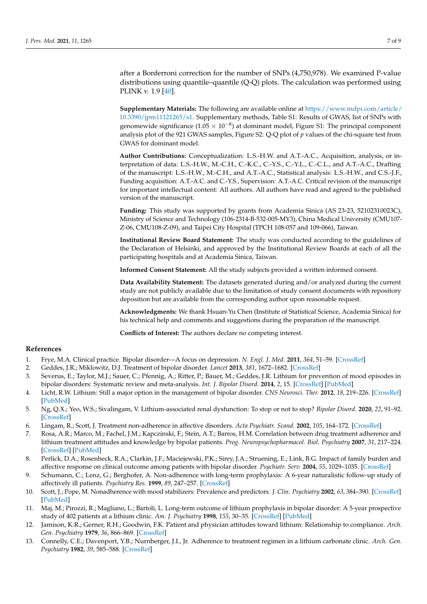after a Bonferroni correction for the number of SNPs (4,750,978). We examined P-value distributions using quantile–quantile (Q-Q) plots. The calculation was performed using PLINK v. 1.9 [\[40\]](#page-8-1).

**Supplementary Materials:** The following are available online at [https://www.mdpi.com/article/](https://www.mdpi.com/article/10.3390/jpm11121265/s1) [10.3390/jpm11121265/s1.](https://www.mdpi.com/article/10.3390/jpm11121265/s1) Supplementary methods, Table S1: Results of GWAS, list of SNPs with genomewide significance ( $1.05 \times 10^{-8}$ ) at dominant model, Figure S1: The principal component analysis plot of the 921 GWAS samples, Figure S2: Q-Q plot of *p* values of the chi-square test from GWAS for dominant model.

**Author Contributions:** Conceptualization: L.S.-H.W. and A.T.-A.C., Acquisition, analysis, or interpretation of data: L.S.-H.W., M.-C.H., C.-K.C., C.-Y.S., C.-Y.L., C.-C.L., and A.T.-A.C., Drafting of the manuscript: L.S.-H.W., M.-C.H., and A.T.-A.C., Statistical analysis: L.S.-H.W., and C.S.-J.F., Funding acquisition: A.T.-A.C. and C.-Y.S., Supervision: A.T.-A.C. Critical revision of the manuscript for important intellectual content: All authors. All authors have read and agreed to the published version of the manuscript.

**Funding:** This study was supported by grants from Academia Sinica (AS 23-23, 52102310023C), Ministry of Science and Technology (106-2314-B-532-005-MY3), China Medical University (CMU107- Z-06, CMU108-Z-09), and Taipei City Hospital (TPCH 108-057 and 109-066), Taiwan.

**Institutional Review Board Statement:** The study was conducted according to the guidelines of the Declaration of Helsinki, and approved by the Institutional Review Boards at each of all the participating hospitals and at Academia Sinica, Taiwan.

**Informed Consent Statement:** All the study subjects provided a written informed consent.

**Data Availability Statement:** The datasets generated during and/or analyzed during the current study are not publicly available due to the limitation of study consent documents with repository deposition but are available from the corresponding author upon reasonable request.

**Acknowledgments:** We thank Hsuan-Yu Chen (Institute of Statistical Science, Academia Sinica) for his technical help and comments and suggestions during the preparation of the manuscript.

**Conflicts of Interest:** The authors declare no competing interest.

# **References**

- <span id="page-6-0"></span>1. Frye, M.A. Clinical practice. Bipolar disorder—A focus on depression. *N. Engl. J. Med.* **2011**, *364*, 51–59. [\[CrossRef\]](http://doi.org/10.1056/NEJMcp1000402)
- <span id="page-6-1"></span>2. Geddes, J.R.; Miklowitz, D.J. Treatment of bipolar disorder. *Lancet* **2013**, *381*, 1672–1682. [\[CrossRef\]](http://doi.org/10.1016/S0140-6736(13)60857-0)
- <span id="page-6-2"></span>3. Severus, E.; Taylor, M.J.; Sauer, C.; Pfennig, A.; Ritter, P.; Bauer, M.; Geddes, J.R. Lithium for prevention of mood episodes in bipolar disorders: Systematic review and meta-analysis. *Int. J. Bipolar Disord.* **2014**, *2*, 15. [\[CrossRef\]](http://doi.org/10.1186/s40345-014-0015-8) [\[PubMed\]](http://www.ncbi.nlm.nih.gov/pubmed/25530932)
- <span id="page-6-3"></span>4. Licht, R.W. Lithium: Still a major option in the management of bipolar disorder. *CNS Neurosci. Ther.* **2012**, *18*, 219–226. [\[CrossRef\]](http://doi.org/10.1111/j.1755-5949.2011.00260.x) [\[PubMed\]](http://www.ncbi.nlm.nih.gov/pubmed/22070642)
- <span id="page-6-4"></span>5. Ng, Q.X.; Yeo, W.S.; Sivalingam, V. Lithium-associated renal dysfunction: To stop or not to stop? *Bipolar Disord.* **2020**, *22*, 91–92. [\[CrossRef\]](http://doi.org/10.1111/bdi.12853)
- <span id="page-6-5"></span>6. Lingam, R.; Scott, J. Treatment non-adherence in affective disorders. *Acta Psychiatr. Scand.* **2002**, *105*, 164–172. [\[CrossRef\]](http://doi.org/10.1034/j.1600-0447.2002.1r084.x)
- <span id="page-6-6"></span>7. Rosa, A.R.; Marco, M.; Fachel, J.M.; Kapczinski, F.; Stein, A.T.; Barros, H.M. Correlation between drug treatment adherence and lithium treatment attitudes and knowledge by bipolar patients. *Prog. Neuropsychopharmacol. Biol. Psychiatry* **2007**, *31*, 217–224. [\[CrossRef\]](http://doi.org/10.1016/j.pnpbp.2006.08.007) [\[PubMed\]](http://www.ncbi.nlm.nih.gov/pubmed/16982121)
- <span id="page-6-7"></span>8. Perlick, D.A.; Rosenheck, R.A.; Clarkin, J.F.; Maciejewski, P.K.; Sirey, J.A.; Struening, E.; Link, B.G. Impact of family burden and affective response on clinical outcome among patients with bipolar disorder. *Psychiatr. Serv.* **2004**, *55*, 1029–1035. [\[CrossRef\]](http://doi.org/10.1176/appi.ps.55.9.1029)
- <span id="page-6-9"></span>9. Schumann, C.; Lenz, G.; Berghofer, A. Non-adherence with long-term prophylaxis: A 6-year naturalistic follow-up study of affectively ill patients. *Psychiatry Res.* **1999**, *89*, 247–257. [\[CrossRef\]](http://doi.org/10.1016/S0165-1781(99)00108-0)
- <span id="page-6-8"></span>10. Scott, J.; Pope, M. Nonadherence with mood stabilizers: Prevalence and predictors. *J. Clin. Psychiatry* **2002**, *63*, 384–390. [\[CrossRef\]](http://doi.org/10.4088/JCP.v63n0502) [\[PubMed\]](http://www.ncbi.nlm.nih.gov/pubmed/12019661)
- <span id="page-6-10"></span>11. Maj, M.; Pirozzi, R.; Magliano, L.; Bartoli, L. Long-term outcome of lithium prophylaxis in bipolar disorder: A 5-year prospective study of 402 patients at a lithium clinic. *Am. J. Psychiatry* **1998**, *155*, 30–35. [\[CrossRef\]](http://doi.org/10.1176/ajp.155.1.30) [\[PubMed\]](http://www.ncbi.nlm.nih.gov/pubmed/9433335)
- <span id="page-6-11"></span>12. Jamison, K.R.; Gerner, R.H.; Goodwin, F.K. Patient and physician attitudes toward lithium: Relationship to compliance. *Arch. Gen. Psychiatry* **1979**, *36*, 866–869. [\[CrossRef\]](http://doi.org/10.1001/archpsyc.1979.01780080040011)
- <span id="page-6-12"></span>13. Connelly, C.E.; Davenport, Y.B.; Nurnberger, J.I., Jr. Adherence to treatment regimen in a lithium carbonate clinic. *Arch. Gen. Psychiatry* **1982**, *39*, 585–588. [\[CrossRef\]](http://doi.org/10.1001/archpsyc.1982.04290050057011)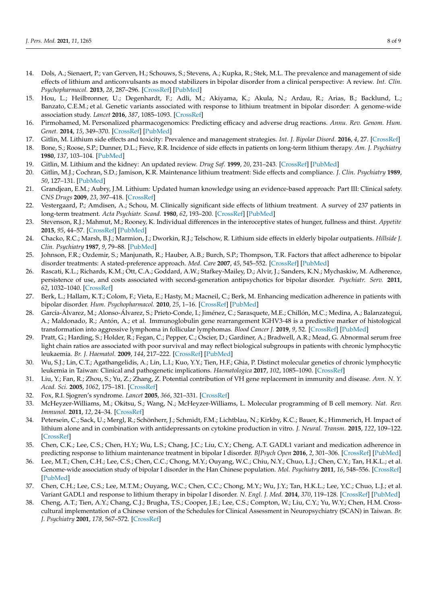- <span id="page-7-0"></span>14. Dols, A.; Sienaert, P.; van Gerven, H.; Schouws, S.; Stevens, A.; Kupka, R.; Stek, M.L. The prevalence and management of side effects of lithium and anticonvulsants as mood stabilizers in bipolar disorder from a clinical perspective: A review. *Int. Clin. Psychopharmacol.* **2013**, *28*, 287–296. [\[CrossRef\]](http://doi.org/10.1097/YIC.0b013e32836435e2) [\[PubMed\]](http://www.ncbi.nlm.nih.gov/pubmed/23873292)
- <span id="page-7-1"></span>15. Hou, L.; Heilbronner, U.; Degenhardt, F.; Adli, M.; Akiyama, K.; Akula, N.; Ardau, R.; Arias, B.; Backlund, L.; Banzato, C.E.M.; et al. Genetic variants associated with response to lithium treatment in bipolar disorder: A genome-wide association study. *Lancet* **2016**, *387*, 1085–1093. [\[CrossRef\]](http://doi.org/10.1016/S0140-6736(16)00143-4)
- <span id="page-7-2"></span>16. Pirmohamed, M. Personalized pharmacogenomics: Predicting efficacy and adverse drug reactions. *Annu. Rev. Genom. Hum. Genet.* **2014**, *15*, 349–370. [\[CrossRef\]](http://doi.org/10.1146/annurev-genom-090413-025419) [\[PubMed\]](http://www.ncbi.nlm.nih.gov/pubmed/24898040)
- <span id="page-7-3"></span>17. Gitlin, M. Lithium side effects and toxicity: Prevalence and management strategies. *Int. J. Bipolar Disord.* **2016**, *4*, 27. [\[CrossRef\]](http://doi.org/10.1186/s40345-016-0068-y)
- 18. Bone, S.; Roose, S.P.; Dunner, D.L.; Fieve, R.R. Incidence of side effects in patients on long-term lithium therapy. *Am. J. Psychiatry* **1980**, *137*, 103–104. [\[PubMed\]](http://www.ncbi.nlm.nih.gov/pubmed/7352540)
- 19. Gitlin, M. Lithium and the kidney: An updated review. *Drug Saf.* **1999**, *20*, 231–243. [\[CrossRef\]](http://doi.org/10.2165/00002018-199920030-00004) [\[PubMed\]](http://www.ncbi.nlm.nih.gov/pubmed/10221853)
- 20. Gitlin, M.J.; Cochran, S.D.; Jamison, K.R. Maintenance lithium treatment: Side effects and compliance. *J. Clin. Psychiatry* **1989**, *50*, 127–131. [\[PubMed\]](http://www.ncbi.nlm.nih.gov/pubmed/2925600)
- 21. Grandjean, E.M.; Aubry, J.M. Lithium: Updated human knowledge using an evidence-based approach: Part III: Clinical safety. *CNS Drugs* **2009**, *23*, 397–418. [\[CrossRef\]](http://doi.org/10.2165/00023210-200923050-00004)
- <span id="page-7-4"></span>22. Vestergaard, P.; Amdisen, A.; Schou, M. Clinically significant side effects of lithium treatment. A survey of 237 patients in long-term treatment. *Acta Psychiatr. Scand.* **1980**, *62*, 193–200. [\[CrossRef\]](http://doi.org/10.1111/j.1600-0447.1980.tb00607.x) [\[PubMed\]](http://www.ncbi.nlm.nih.gov/pubmed/7457166)
- <span id="page-7-5"></span>23. Stevenson, R.J.; Mahmut, M.; Rooney, K. Individual differences in the interoceptive states of hunger, fullness and thirst. *Appetite* **2015**, *95*, 44–57. [\[CrossRef\]](http://doi.org/10.1016/j.appet.2015.06.008) [\[PubMed\]](http://www.ncbi.nlm.nih.gov/pubmed/26119812)
- <span id="page-7-6"></span>24. Chacko, R.C.; Marsh, B.J.; Marmion, J.; Dworkin, R.J.; Telschow, R. Lithium side effects in elderly bipolar outpatients. *Hillside J. Clin. Psychiatry* **1987**, *9*, 79–88. [\[PubMed\]](http://www.ncbi.nlm.nih.gov/pubmed/3653845)
- <span id="page-7-7"></span>25. Johnson, F.R.; Ozdemir, S.; Manjunath, R.; Hauber, A.B.; Burch, S.P.; Thompson, T.R. Factors that affect adherence to bipolar disorder treatments: A stated-preference approach. *Med. Care* **2007**, *45*, 545–552. [\[CrossRef\]](http://doi.org/10.1097/MLR.0b013e318040ad90) [\[PubMed\]](http://www.ncbi.nlm.nih.gov/pubmed/17515782)
- <span id="page-7-8"></span>26. Rascati, K.L.; Richards, K.M.; Ott, C.A.; Goddard, A.W.; Stafkey-Mailey, D.; Alvir, J.; Sanders, K.N.; Mychaskiw, M. Adherence, persistence of use, and costs associated with second-generation antipsychotics for bipolar disorder. *Psychiatr. Serv.* **2011**, *62*, 1032–1040. [\[CrossRef\]](http://doi.org/10.1176/ps.62.9.pss6209_1032)
- <span id="page-7-9"></span>27. Berk, L.; Hallam, K.T.; Colom, F.; Vieta, E.; Hasty, M.; Macneil, C.; Berk, M. Enhancing medication adherence in patients with bipolar disorder. *Hum. Psychopharmacol.* **2010**, *25*, 1–16. [\[CrossRef\]](http://doi.org/10.1002/hup.1081) [\[PubMed\]](http://www.ncbi.nlm.nih.gov/pubmed/20041478)
- <span id="page-7-10"></span>28. García-Álvarez, M.; Alonso-Álvarez, S.; Prieto-Conde, I.; Jiménez, C.; Sarasquete, M.E.; Chillón, M.C.; Medina, A.; Balanzategui, A.; Maldonado, R.; Antón, A.; et al. Immunoglobulin gene rearrangement IGHV3-48 is a predictive marker of histological transformation into aggressive lymphoma in follicular lymphomas. *Blood Cancer J.* **2019**, *9*, 52. [\[CrossRef\]](http://doi.org/10.1038/s41408-019-0213-9) [\[PubMed\]](http://www.ncbi.nlm.nih.gov/pubmed/31209206)
- <span id="page-7-11"></span>29. Pratt, G.; Harding, S.; Holder, R.; Fegan, C.; Pepper, C.; Oscier, D.; Gardiner, A.; Bradwell, A.R.; Mead, G. Abnormal serum free light chain ratios are associated with poor survival and may reflect biological subgroups in patients with chronic lymphocytic leukaemia. *Br. J. Haematol.* **2009**, *144*, 217–222. [\[CrossRef\]](http://doi.org/10.1111/j.1365-2141.2008.07456.x) [\[PubMed\]](http://www.ncbi.nlm.nih.gov/pubmed/19016722)
- <span id="page-7-12"></span>30. Wu, S.J.; Lin, C.T.; Agathangelidis, A.; Lin, L.I.; Kuo, Y.Y.; Tien, H.F.; Ghia, P. Distinct molecular genetics of chronic lymphocytic leukemia in Taiwan: Clinical and pathogenetic implications. *Haematologica* **2017**, *102*, 1085–1090. [\[CrossRef\]](http://doi.org/10.3324/haematol.2016.157552)
- <span id="page-7-13"></span>31. Liu, Y.; Fan, R.; Zhou, S.; Yu, Z.; Zhang, Z. Potential contribution of VH gene replacement in immunity and disease. *Ann. N. Y. Acad. Sci.* **2005**, *1062*, 175–181. [\[CrossRef\]](http://doi.org/10.1196/annals.1358.020)
- <span id="page-7-14"></span>32. Fox, R.I. Sjogren's syndrome. *Lancet* **2005**, *366*, 321–331. [\[CrossRef\]](http://doi.org/10.1016/S0140-6736(05)66990-5)
- <span id="page-7-15"></span>33. McHeyzer-Williams, M.; Okitsu, S.; Wang, N.; McHeyzer-Williams, L. Molecular programming of B cell memory. *Nat. Rev. Immunol.* **2011**, *12*, 24–34. [\[CrossRef\]](http://doi.org/10.1038/nri3128)
- <span id="page-7-16"></span>34. Petersein, C.; Sack, U.; Mergl, R.; Schönherr, J.; Schmidt, F.M.; Lichtblau, N.; Kirkby, K.C.; Bauer, K.; Himmerich, H. Impact of lithium alone and in combination with antidepressants on cytokine production in vitro. *J. Neural. Transm.* **2015**, *122*, 109–122. [\[CrossRef\]](http://doi.org/10.1007/s00702-014-1328-6)
- <span id="page-7-17"></span>35. Chen, C.K.; Lee, C.S.; Chen, H.Y.; Wu, L.S.; Chang, J.C.; Liu, C.Y.; Cheng, A.T. GADL1 variant and medication adherence in predicting response to lithium maintenance treatment in bipolar I disorder. *BJPsych Open* **2016**, *2*, 301–306. [\[CrossRef\]](http://doi.org/10.1192/bjpo.bp.116.002881) [\[PubMed\]](http://www.ncbi.nlm.nih.gov/pubmed/27703793)
- 36. Lee, M.T.; Chen, C.H.; Lee, C.S.; Chen, C.C.; Chong, M.Y.; Ouyang, W.C.; Chiu, N.Y.; Chuo, L.J.; Chen, C.Y.; Tan, H.K.L.; et al. Genome-wide association study of bipolar I disorder in the Han Chinese population. *Mol. Psychiatry* **2011**, *16*, 548–556. [\[CrossRef\]](http://doi.org/10.1038/mp.2010.43) [\[PubMed\]](http://www.ncbi.nlm.nih.gov/pubmed/20386566)
- <span id="page-7-18"></span>37. Chen, C.H.; Lee, C.S.; Lee, M.T.M.; Ouyang, W.C.; Chen, C.C.; Chong, M.Y.; Wu, J.Y.; Tan, H.K.L.; Lee, Y.C.; Chuo, L.J.; et al. Variant GADL1 and response to lithium therapy in bipolar I disorder. *N. Engl. J. Med.* **2014**, *370*, 119–128. [\[CrossRef\]](http://doi.org/10.1056/NEJMoa1212444) [\[PubMed\]](http://www.ncbi.nlm.nih.gov/pubmed/24369049)
- <span id="page-7-19"></span>38. Cheng, A.T.; Tien, A.Y.; Chang, C.J.; Brugha, T.S.; Cooper, J.E.; Lee, C.S.; Compton, W.; Liu, C.Y.; Yu, W.Y.; Chen, H.M. Crosscultural implementation of a Chinese version of the Schedules for Clinical Assessment in Neuropsychiatry (SCAN) in Taiwan. *Br. J. Psychiatry* **2001**, *178*, 567–572. [\[CrossRef\]](http://doi.org/10.1192/bjp.178.6.567)